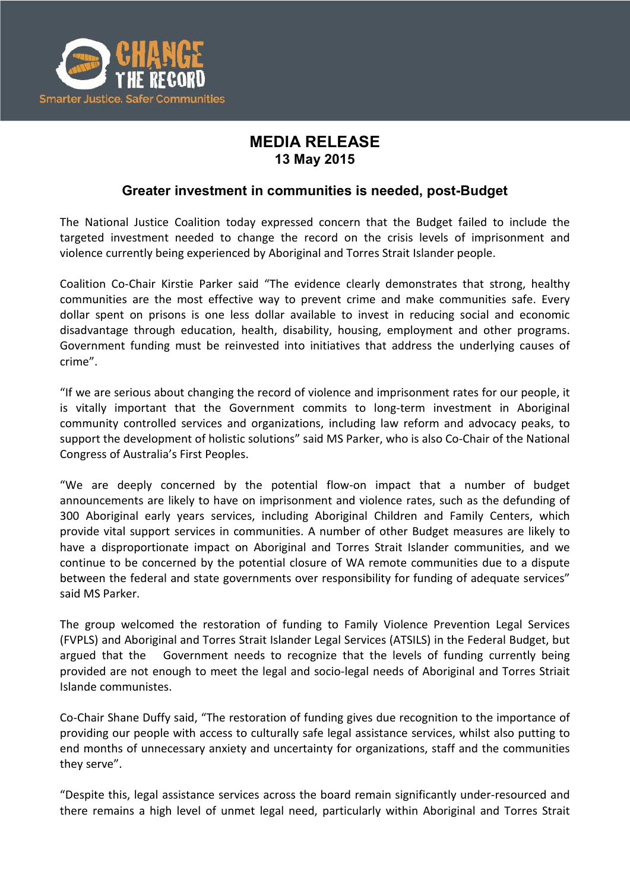

## **MEDIA RELEASE 13 May 2015**

## **Greater investment in communities is needed, post-Budget**

The National Justice Coalition today expressed concern that the Budget failed to include the targeted investment needed to change the record on the crisis levels of imprisonment and violence currently being experienced by Aboriginal and Torres Strait Islander people.

Coalition Co-Chair Kirstie Parker said "The evidence clearly demonstrates that strong, healthy communities are the most effective way to prevent crime and make communities safe. Every dollar spent on prisons is one less dollar available to invest in reducing social and economic disadvantage through education, health, disability, housing, employment and other programs. Government funding must be reinvested into initiatives that address the underlying causes of crime".

"If we are serious about changing the record of violence and imprisonment rates for our people, it is vitally important that the Government commits to long-term investment in Aboriginal community controlled services and organizations, including law reform and advocacy peaks, to support the development of holistic solutions" said MS Parker, who is also Co-Chair of the National Congress of Australia's First Peoples.

"We are deeply concerned by the potential flow-on impact that a number of budget announcements are likely to have on imprisonment and violence rates, such as the defunding of 300 Aboriginal early years services, including Aboriginal Children and Family Centers, which provide vital support services in communities. A number of other Budget measures are likely to have a disproportionate impact on Aboriginal and Torres Strait Islander communities, and we continue to be concerned by the potential closure of WA remote communities due to a dispute between the federal and state governments over responsibility for funding of adequate services" said MS Parker.

The group welcomed the restoration of funding to Family Violence Prevention Legal Services (FVPLS) and Aboriginal and Torres Strait Islander Legal Services (ATSILS) in the Federal Budget, but argued that the Government needs to recognize that the levels of funding currently being provided are not enough to meet the legal and socio-legal needs of Aboriginal and Torres Striait Islande communistes.

Co-Chair Shane Duffy said, "The restoration of funding gives due recognition to the importance of providing our people with access to culturally safe legal assistance services, whilst also putting to end months of unnecessary anxiety and uncertainty for organizations, staff and the communities they serve".

"Despite this, legal assistance services across the board remain significantly under-resourced and there remains a high level of unmet legal need, particularly within Aboriginal and Torres Strait